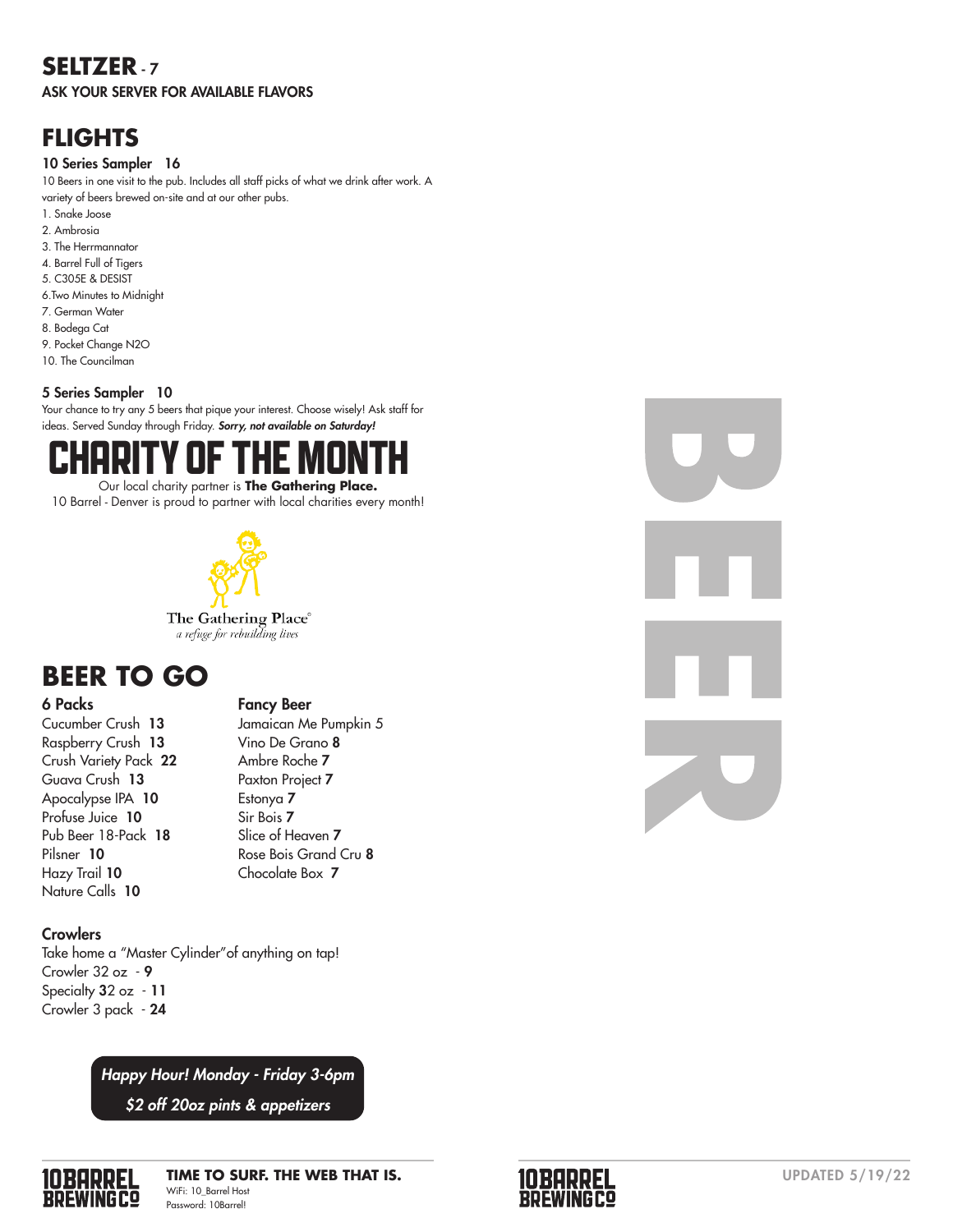# **SELTZER** - 7

ASK YOUR SERVER FOR AVAILABLE FLAVORS

# **FLIGHTS**

#### 10 Series Sampler 16

10 Beers in one visit to the pub. Includes all staff picks of what we drink after work. A variety of beers brewed on-site and at our other pubs.

- 1. Snake Joose
- 2. Ambrosia
- 3. The Herrmannator
- 4. Barrel Full of Tigers
- 5. C305E & DESIST 6.Two Minutes to Midnight
- 7. German Water
- 8. Bodega Cat
- 9. Pocket Change N2O
- 10. The Councilman

### 5 Series Sampler 10

Your chance to try any 5 beers that pique your interest. Choose wisely! Ask staff for ideas. Served Sunday through Friday. *Sorry, not available on Saturday!*



10 Barrel - Denver is proud to partner with local charities every month!



# **BEER TO GO**

#### 6 Packs

Cucumber Crush 13 Raspberry Crush 13 Crush Variety Pack 22 Guava Crush 13 Apocalypse IPA 10 Profuse Juice 10 Pub Beer 18-Pack 18 Pilsner 10 Hazy Trail 10 Nature Calls 10

#### Fancy Beer

Jamaican Me Pumpkin 5 Vino De Grano 8 Ambre Roche 7 Paxton Project 7 Estonya 7 Sir Bois 7 Slice of Heaven 7 Rose Bois Grand Cru 8 Chocolate Box 7



Take home a "Master Cylinder"of anything on tap! Crowler 32 oz - 9 Specialty 32 oz - 11 Crowler 3 pack - 24

*Happy Hour! Monday - Friday 3-6pm*

*\$2 off 20oz pints & appetizers*